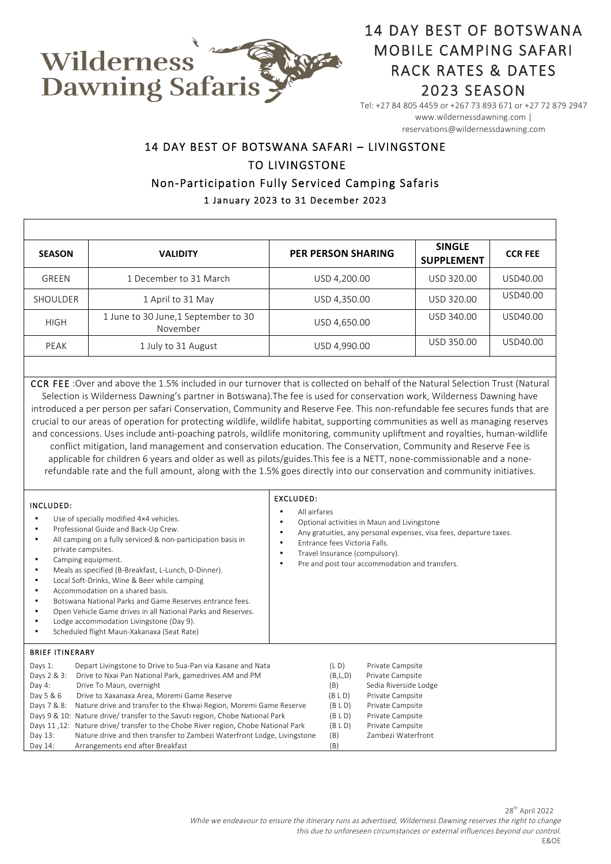

www.wildernessdawning.com | reservations@wildernessdawning.com

### 14 DAY BEST OF BOTSWANA SAFARI – LIVINGSTONE TO LIVINGSTONE Non-Participation Fully Serviced Camping Safaris 1 January 2023 to 31 December 2023

| <b>SEASON</b> | <b>VALIDITY</b>                                  | <b>PER PERSON SHARING</b> | <b>SINGLE</b><br><b>SUPPLEMENT</b> | <b>CCR FEE</b> |
|---------------|--------------------------------------------------|---------------------------|------------------------------------|----------------|
| GREEN         | 1 December to 31 March                           | USD 4,200.00              | USD 320.00                         | USD40.00       |
| SHOULDER      | 1 April to 31 May                                | USD 4,350.00              | USD 320.00                         | USD40.00       |
| <b>HIGH</b>   | 1 June to 30 June, 1 September to 30<br>November | USD 4,650.00              | USD 340.00                         | USD40.00       |
| PEAK          | 1 July to 31 August                              | USD 4,990.00              | USD 350.00                         | USD40.00       |

CCR FEE :Over and above the 1.5% included in our turnover that is collected on behalf of the Natural Selection Trust (Natural Selection is Wilderness Dawning's partner in Botswana).The fee is used for conservation work, Wilderness Dawning have introduced a per person per safari Conservation, Community and Reserve Fee. This non-refundable fee secures funds that are crucial to our areas of operation for protecting wildlife, wildlife habitat, supporting communities as well as managing reserves and concessions. Uses include anti-poaching patrols, wildlife monitoring, community upliftment and royalties, human-wildlife conflict mitigation, land management and conservation education. The Conservation, Community and Reserve Fee is applicable for children 6 years and older as well as pilots/guides.This fee is a NETT, none-commissionable and a none-

refundable rate and the full amount, along with the 1.5% goes directly into our conservation and community initiatives.

| INCLUDED:<br>Use of specially modified 4×4 vehicles.<br>Professional Guide and Back-Up Crew.<br>٠<br>All camping on a fully serviced & non-participation basis in<br>٠<br>private campsites.<br>Camping equipment.<br>٠<br>Meals as specified (B-Breakfast, L-Lunch, D-Dinner).<br>٠<br>Local Soft-Drinks, Wine & Beer while camping<br>٠<br>Accommodation on a shared basis.<br>Botswana National Parks and Game Reserves entrance fees.<br>Open Vehicle Game drives in all National Parks and Reserves.<br>٠<br>Lodge accommodation Livingstone (Day 9).<br>٠<br>Scheduled flight Maun-Xakanaxa (Seat Rate) |                                                                                   | EXCLUDED:<br>All airfares<br>٠<br>Optional activities in Maun and Livingstone<br>$\bullet$<br>Any gratuities, any personal expenses, visa fees, departure taxes.<br>٠<br>Entrance fees Victoria Falls.<br>٠<br>Travel Insurance (compulsory).<br>٠<br>Pre and post tour accommodation and transfers.<br>٠ |                    |                       |  |  |  |
|---------------------------------------------------------------------------------------------------------------------------------------------------------------------------------------------------------------------------------------------------------------------------------------------------------------------------------------------------------------------------------------------------------------------------------------------------------------------------------------------------------------------------------------------------------------------------------------------------------------|-----------------------------------------------------------------------------------|-----------------------------------------------------------------------------------------------------------------------------------------------------------------------------------------------------------------------------------------------------------------------------------------------------------|--------------------|-----------------------|--|--|--|
| <b>BRIEF ITINERARY</b>                                                                                                                                                                                                                                                                                                                                                                                                                                                                                                                                                                                        |                                                                                   |                                                                                                                                                                                                                                                                                                           |                    |                       |  |  |  |
| Days 1:                                                                                                                                                                                                                                                                                                                                                                                                                                                                                                                                                                                                       | Depart Livingstone to Drive to Sua-Pan via Kasane and Nata                        |                                                                                                                                                                                                                                                                                                           | (L D)              | Private Campsite      |  |  |  |
| Days 2 & 3:                                                                                                                                                                                                                                                                                                                                                                                                                                                                                                                                                                                                   | Drive to Nxai Pan National Park, gamedrives AM and PM                             |                                                                                                                                                                                                                                                                                                           | (B, L, D)          | Private Campsite      |  |  |  |
| Drive To Maun, overnight<br>Day 4:                                                                                                                                                                                                                                                                                                                                                                                                                                                                                                                                                                            |                                                                                   |                                                                                                                                                                                                                                                                                                           | (B)                | Sedia Riverside Lodge |  |  |  |
| Day 5 & 6<br>Drive to Xaxanaxa Area, Moremi Game Reserve                                                                                                                                                                                                                                                                                                                                                                                                                                                                                                                                                      |                                                                                   | (BLD)                                                                                                                                                                                                                                                                                                     | Private Campsite   |                       |  |  |  |
|                                                                                                                                                                                                                                                                                                                                                                                                                                                                                                                                                                                                               | Nature drive and transfer to the Khwai Region, Moremi Game Reserve<br>Days 7 & 8: |                                                                                                                                                                                                                                                                                                           | (BLD)              | Private Campsite      |  |  |  |
| Days 9 & 10: Nature drive/transfer to the Savuti region, Chobe National Park                                                                                                                                                                                                                                                                                                                                                                                                                                                                                                                                  |                                                                                   | (BLD)                                                                                                                                                                                                                                                                                                     | Private Campsite   |                       |  |  |  |
| Nature drive/transfer to the Chobe River region, Chobe National Park<br>Days 11, 12:                                                                                                                                                                                                                                                                                                                                                                                                                                                                                                                          |                                                                                   | (BLD)                                                                                                                                                                                                                                                                                                     | Private Campsite   |                       |  |  |  |
| Day 13:<br>Nature drive and then transfer to Zambezi Waterfront Lodge, Livingstone                                                                                                                                                                                                                                                                                                                                                                                                                                                                                                                            |                                                                                   | (B)                                                                                                                                                                                                                                                                                                       | Zambezi Waterfront |                       |  |  |  |
| Arrangements end after Breakfast<br>Day 14:                                                                                                                                                                                                                                                                                                                                                                                                                                                                                                                                                                   |                                                                                   | (B)                                                                                                                                                                                                                                                                                                       |                    |                       |  |  |  |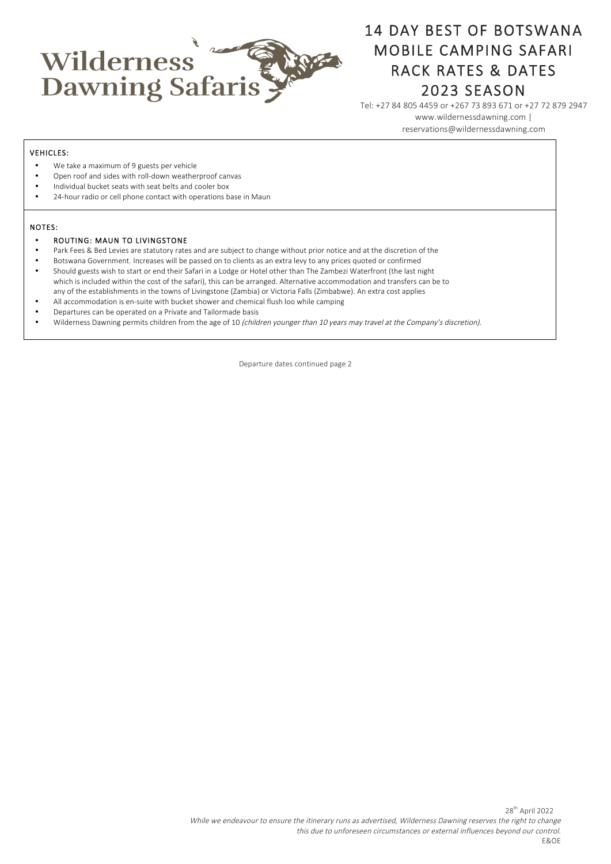

www.wildernessdawning.com | reservations@wildernessdawning.com

#### VEHICLES:

- We take a maximum of 9 guests per vehicle
- Open roof and sides with roll-down weatherproof canvas
- Individual bucket seats with seat belts and cooler box
- 24-hour radio or cell phone contact with operations base in Maun

#### NOTES:

- ROUTING: MAUN TO LIVINGSTONE
- Park Fees & Bed Levies are statutory rates and are subject to change without prior notice and at the discretion of the
- Botswana Government. Increases will be passed on to clients as an extra levy to any prices quoted or confirmed
- Should guests wish to start or end their Safari in a Lodge or Hotel other than The Zambezi Waterfront (the last night which is included within the cost of the safari), this can be arranged. Alternative accommodation and transfers can be to any of the establishments in the towns of Livingstone (Zambia) or Victoria Falls (Zimbabwe). An extra cost applies
- All accommodation is en-suite with bucket shower and chemical flush loo while camping
- Departures can be operated on a Private and Tailormade basis
- Wilderness Dawning permits children from the age of 10 (children younger than 10 years may travel at the Company's discretion).

Departure dates continued page 2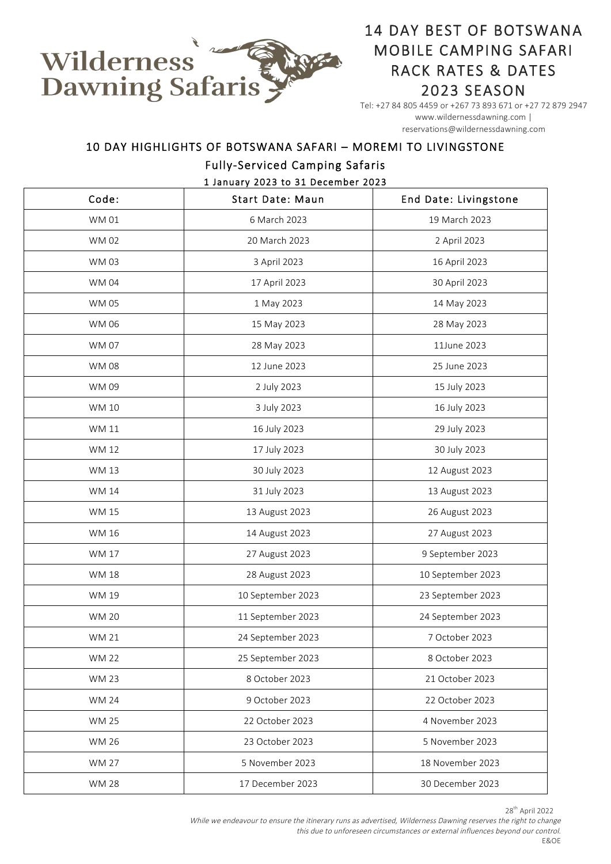

www.wildernessdawning.com | reservations@wildernessdawning.com

### 10 DAY HIGHLIGHTS OF BOTSWANA SAFARI – MOREMI TO LIVINGSTONE

### Fully-Serviced Camping Safaris

1 January 2023 to 31 December 2023

| Code:        | <b>Start Date: Maun</b> | End Date: Livingstone |
|--------------|-------------------------|-----------------------|
| <b>WM01</b>  | 6 March 2023            | 19 March 2023         |
| <b>WM02</b>  | 20 March 2023           | 2 April 2023          |
| <b>WM03</b>  | 3 April 2023            | 16 April 2023         |
| <b>WM04</b>  | 17 April 2023           | 30 April 2023         |
| <b>WM05</b>  | 1 May 2023              | 14 May 2023           |
| WM 06        | 15 May 2023             | 28 May 2023           |
| <b>WM07</b>  | 28 May 2023             | 11June 2023           |
| <b>WM08</b>  | 12 June 2023            | 25 June 2023          |
| WM 09        | 2 July 2023             | 15 July 2023          |
| <b>WM 10</b> | 3 July 2023             | 16 July 2023          |
| <b>WM 11</b> | 16 July 2023            | 29 July 2023          |
| <b>WM12</b>  | 17 July 2023            | 30 July 2023          |
| <b>WM13</b>  | 30 July 2023            | 12 August 2023        |
| <b>WM 14</b> | 31 July 2023            | 13 August 2023        |
| <b>WM 15</b> | 13 August 2023          | 26 August 2023        |
| WM 16        | 14 August 2023          | 27 August 2023        |
| <b>WM 17</b> | 27 August 2023          | 9 September 2023      |
| <b>WM 18</b> | 28 August 2023          | 10 September 2023     |
| WM 19        | 10 September 2023       | 23 September 2023     |
| <b>WM 20</b> | 11 September 2023       | 24 September 2023     |
| <b>WM 21</b> | 24 September 2023       | 7 October 2023        |
| <b>WM 22</b> | 25 September 2023       | 8 October 2023        |
| <b>WM 23</b> | 8 October 2023          | 21 October 2023       |
| <b>WM 24</b> | 9 October 2023          | 22 October 2023       |
| <b>WM 25</b> | 22 October 2023         | 4 November 2023       |
| <b>WM 26</b> | 23 October 2023         | 5 November 2023       |
| <b>WM 27</b> | 5 November 2023         | 18 November 2023      |
| <b>WM 28</b> | 17 December 2023        | 30 December 2023      |

28 th April 2022

While we endeavour to ensure the itinerary runs as advertised, Wilderness Dawning reserves the right to change this due to unforeseen circumstances or external influences beyond our control. E&OE